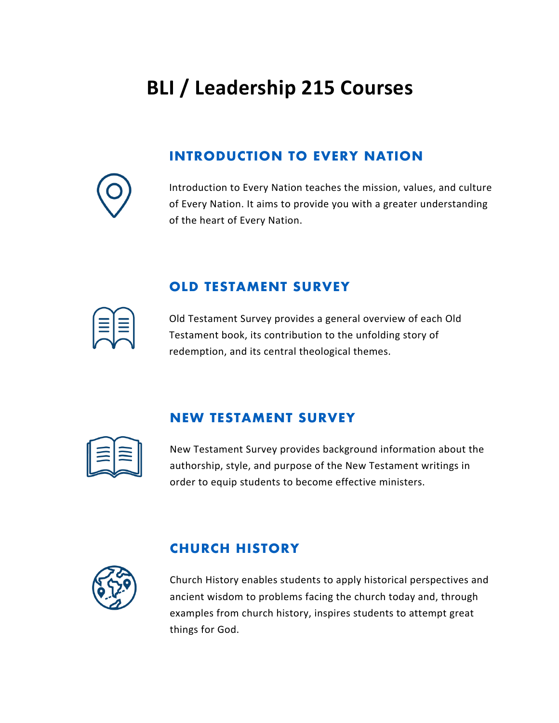# **BLI / Leadership 215 Courses**

# **INTRODUCTION TO EVERY NATION**

Introduction to Every Nation teaches the mission, values, and culture of Every Nation. It aims to provide you with a greater understanding of the heart of Every Nation.



Old Testament Survey provides a general overview of each Old Testament book, its contribution to the unfolding story of redemption, and its central theological themes.

## **NEW TESTAMENT SURVEY**

**OLD TESTAMENT SURVEY**

New Testament Survey provides background information about the authorship, style, and purpose of the New Testament writings in order to equip students to become effective ministers.



#### **CHURCH HISTORY**

Church History enables students to apply historical perspectives and ancient wisdom to problems facing the church today and, through examples from church history, inspires students to attempt great things for God.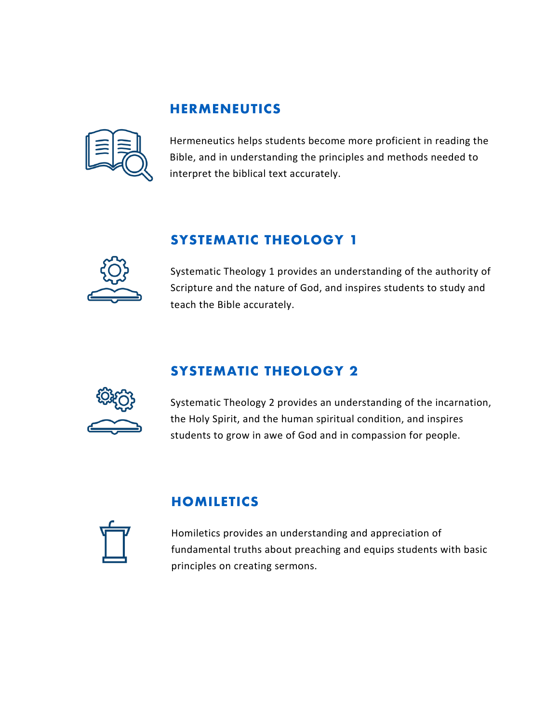#### **HERMENEUTICS**



Hermeneutics helps students become more proficient in reading the Bible, and in understanding the principles and methods needed to interpret the biblical text accurately.

# **SYSTEMATIC THEOLOGY 1**



Systematic Theology 1 provides an understanding of the authority of Scripture and the nature of God, and inspires students to study and teach the Bible accurately.

#### **SYSTEMATIC THEOLOGY 2**



Systematic Theology 2 provides an understanding of the incarnation, the Holy Spirit, and the human spiritual condition, and inspires students to grow in awe of God and in compassion for people.

#### **HOMILETICS**

Homiletics provides an understanding and appreciation of fundamental truths about preaching and equips students with basic principles on creating sermons.